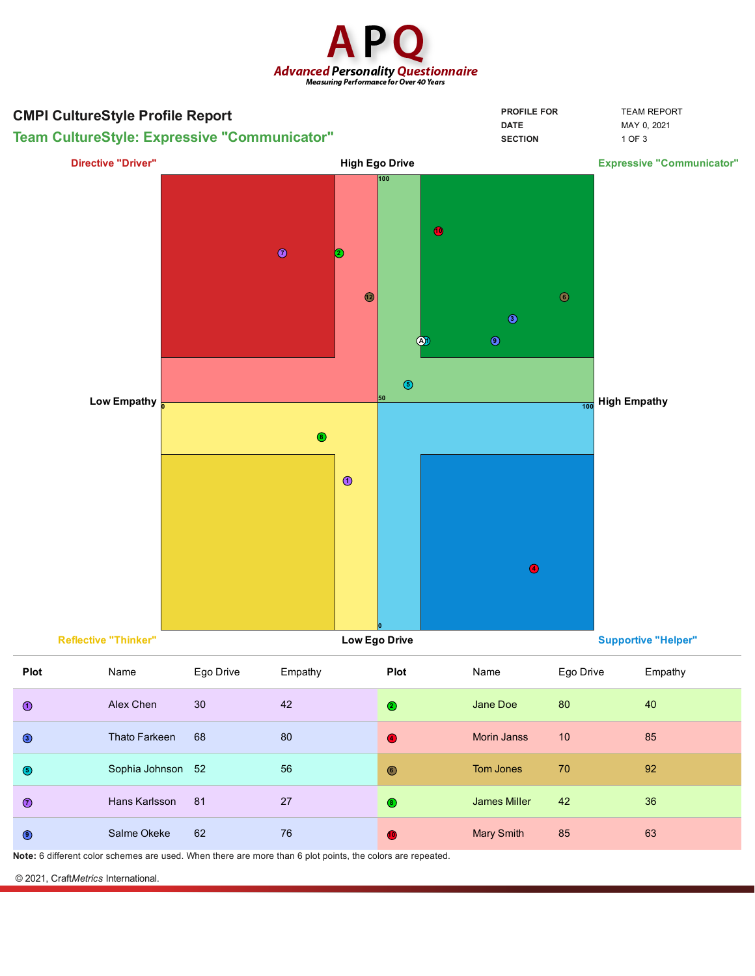



**Note:** 6 different color schemes are used. When there are more than 6 plot points, the colors are repeated.

© 2021, Craft*Metrics* International.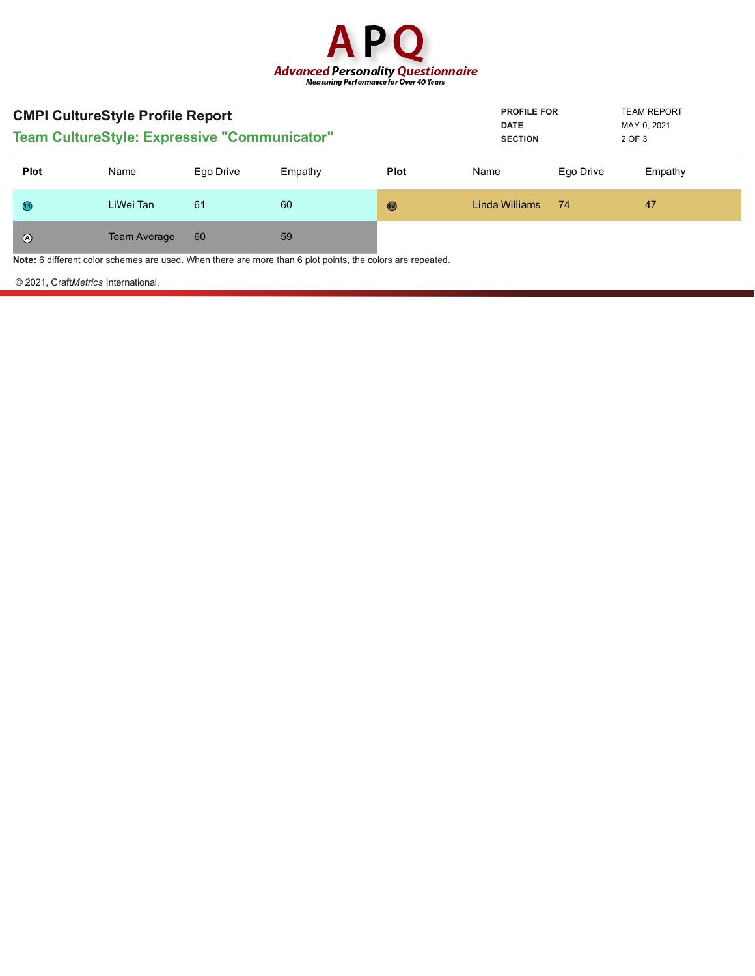

| <b>CMPI CultureStyle Profile Report</b><br><b>Team CultureStyle: Expressive "Communicator"</b> |                     |           |         |             | <b>PROFILE FOR</b><br><b>DATE</b><br><b>SECTION</b> |           | <b>TEAM REPORT</b><br>MAY 0, 2021<br>2 OF 3 |
|------------------------------------------------------------------------------------------------|---------------------|-----------|---------|-------------|-----------------------------------------------------|-----------|---------------------------------------------|
| <b>Plot</b>                                                                                    | Name                | Ego Drive | Empathy | <b>Plot</b> | Name                                                | Ego Drive | Empathy                                     |
| $\bigcirc$                                                                                     | LiWei Tan           | 61        | 60      | $\circledR$ | Linda Williams                                      | 74        | 47                                          |
| $\odot$                                                                                        | <b>Team Average</b> | 60        | 59      |             |                                                     |           |                                             |

**Note:** 6 different color schemes are used. When there are more than 6 plot points, the colors are repeated.

© 2021, Craft*Metrics* International.